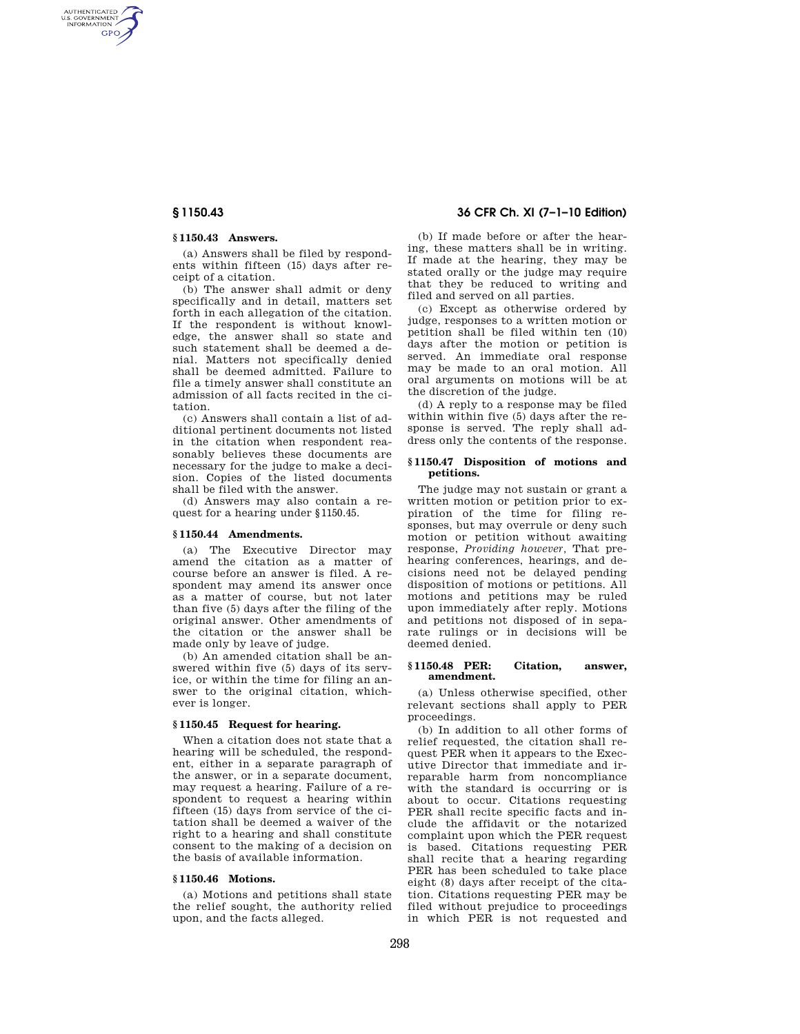AUTHENTICATED<br>U.S. GOVERNMENT<br>INFORMATION GPO

# **§ 1150.43 Answers.**

(a) Answers shall be filed by respondents within fifteen (15) days after receipt of a citation.

(b) The answer shall admit or deny specifically and in detail, matters set forth in each allegation of the citation. If the respondent is without knowledge, the answer shall so state and such statement shall be deemed a denial. Matters not specifically denied shall be deemed admitted. Failure to file a timely answer shall constitute an admission of all facts recited in the citation.

(c) Answers shall contain a list of additional pertinent documents not listed in the citation when respondent reasonably believes these documents are necessary for the judge to make a decision. Copies of the listed documents shall be filed with the answer.

(d) Answers may also contain a request for a hearing under §1150.45.

# **§ 1150.44 Amendments.**

(a) The Executive Director may amend the citation as a matter of course before an answer is filed. A respondent may amend its answer once as a matter of course, but not later than five (5) days after the filing of the original answer. Other amendments of the citation or the answer shall be made only by leave of judge.

(b) An amended citation shall be answered within five (5) days of its service, or within the time for filing an answer to the original citation, whichever is longer.

## **§ 1150.45 Request for hearing.**

When a citation does not state that a hearing will be scheduled, the respondent, either in a separate paragraph of the answer, or in a separate document, may request a hearing. Failure of a respondent to request a hearing within fifteen (15) days from service of the citation shall be deemed a waiver of the right to a hearing and shall constitute consent to the making of a decision on the basis of available information.

#### **§ 1150.46 Motions.**

(a) Motions and petitions shall state the relief sought, the authority relied upon, and the facts alleged.

# **§ 1150.43 36 CFR Ch. XI (7–1–10 Edition)**

(b) If made before or after the hearing, these matters shall be in writing. If made at the hearing, they may be stated orally or the judge may require that they be reduced to writing and filed and served on all parties.

(c) Except as otherwise ordered by judge, responses to a written motion or petition shall be filed within ten (10) days after the motion or petition is served. An immediate oral response may be made to an oral motion. All oral arguments on motions will be at the discretion of the judge.

(d) A reply to a response may be filed within within five (5) days after the response is served. The reply shall address only the contents of the response.

## **§ 1150.47 Disposition of motions and petitions.**

The judge may not sustain or grant a written motion or petition prior to expiration of the time for filing responses, but may overrule or deny such motion or petition without awaiting response, *Providing however,* That prehearing conferences, hearings, and decisions need not be delayed pending disposition of motions or petitions. All motions and petitions may be ruled upon immediately after reply. Motions and petitions not disposed of in separate rulings or in decisions will be deemed denied.

### **§ 1150.48 PER: Citation, answer, amendment.**

(a) Unless otherwise specified, other relevant sections shall apply to PER proceedings.

(b) In addition to all other forms of relief requested, the citation shall request PER when it appears to the Executive Director that immediate and irreparable harm from noncompliance with the standard is occurring or is about to occur. Citations requesting PER shall recite specific facts and include the affidavit or the notarized complaint upon which the PER request is based. Citations requesting PER shall recite that a hearing regarding PER has been scheduled to take place eight (8) days after receipt of the citation. Citations requesting PER may be filed without prejudice to proceedings in which PER is not requested and